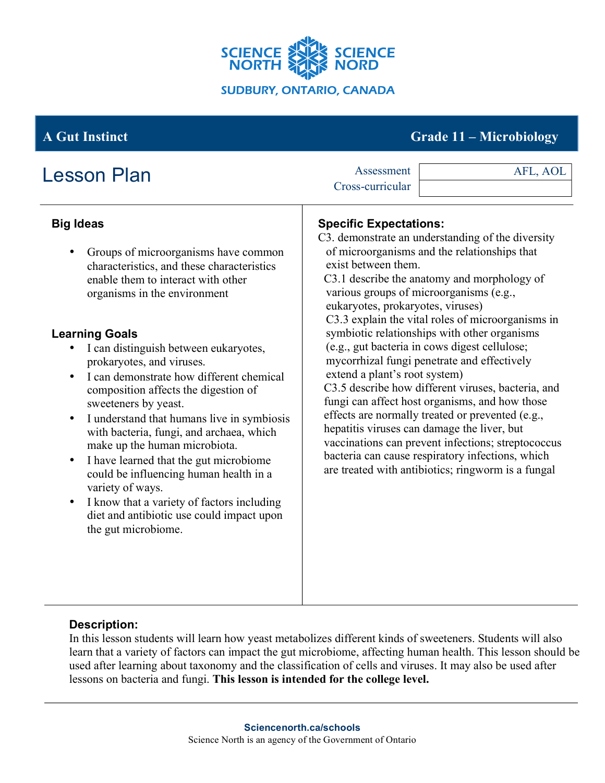

# **A Gut Instinct Grade 11 – Microbiology**

| <b>Lesson Plan</b>                                                                                                                                                                                                                                                                                                                                                                                                                                                                                                                                                                                                                                                                                                                                                                                                         | Assessment<br>Cross-curricular                                                                                                                                                                                                                                                                                                                                                                                                                                                                                                                                                                                                                                                                                                                                                                                                                                                                            | AFL, AOL |
|----------------------------------------------------------------------------------------------------------------------------------------------------------------------------------------------------------------------------------------------------------------------------------------------------------------------------------------------------------------------------------------------------------------------------------------------------------------------------------------------------------------------------------------------------------------------------------------------------------------------------------------------------------------------------------------------------------------------------------------------------------------------------------------------------------------------------|-----------------------------------------------------------------------------------------------------------------------------------------------------------------------------------------------------------------------------------------------------------------------------------------------------------------------------------------------------------------------------------------------------------------------------------------------------------------------------------------------------------------------------------------------------------------------------------------------------------------------------------------------------------------------------------------------------------------------------------------------------------------------------------------------------------------------------------------------------------------------------------------------------------|----------|
| <b>Big Ideas</b><br>Groups of microorganisms have common<br>$\bullet$<br>characteristics, and these characteristics<br>enable them to interact with other<br>organisms in the environment<br><b>Learning Goals</b><br>I can distinguish between eukaryotes,<br>$\bullet$<br>prokaryotes, and viruses.<br>I can demonstrate how different chemical<br>$\bullet$<br>composition affects the digestion of<br>sweeteners by yeast.<br>I understand that humans live in symbiosis<br>$\bullet$<br>with bacteria, fungi, and archaea, which<br>make up the human microbiota.<br>I have learned that the gut microbiome<br>$\bullet$<br>could be influencing human health in a<br>variety of ways.<br>I know that a variety of factors including<br>$\bullet$<br>diet and antibiotic use could impact upon<br>the gut microbiome. | <b>Specific Expectations:</b><br>C3. demonstrate an understanding of the diversity<br>of microorganisms and the relationships that<br>exist between them.<br>C3.1 describe the anatomy and morphology of<br>various groups of microorganisms (e.g.,<br>eukaryotes, prokaryotes, viruses)<br>C3.3 explain the vital roles of microorganisms in<br>symbiotic relationships with other organisms<br>(e.g., gut bacteria in cows digest cellulose;<br>mycorrhizal fungi penetrate and effectively<br>extend a plant's root system)<br>C3.5 describe how different viruses, bacteria, and<br>fungi can affect host organisms, and how those<br>effects are normally treated or prevented (e.g.,<br>hepatitis viruses can damage the liver, but<br>vaccinations can prevent infections; streptococcus<br>bacteria can cause respiratory infections, which<br>are treated with antibiotics; ringworm is a fungal |          |

### **Description:**

In this lesson students will learn how yeast metabolizes different kinds of sweeteners. Students will also learn that a variety of factors can impact the gut microbiome, affecting human health. This lesson should be used after learning about taxonomy and the classification of cells and viruses. It may also be used after lessons on bacteria and fungi. **This lesson is intended for the college level.**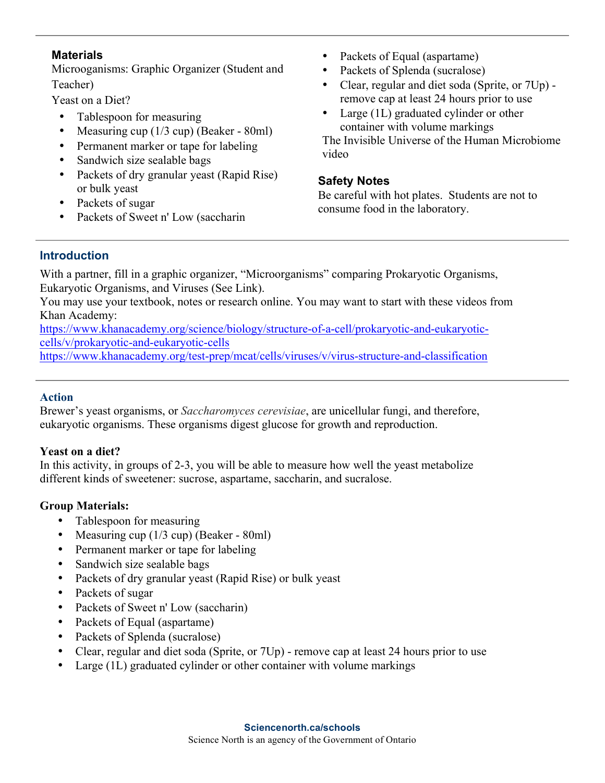### **Materials**

Microoganisms: Graphic Organizer (Student and Teacher)

Yeast on a Diet?

- Tablespoon for measuring
- Measuring cup (1/3 cup) (Beaker 80ml)
- Permanent marker or tape for labeling
- Sandwich size sealable bags
- Packets of dry granular yeast (Rapid Rise) or bulk yeast
- Packets of sugar
- Packets of Sweet n' Low (saccharin
- Packets of Equal (aspartame)
- Packets of Splenda (sucralose)
- Clear, regular and diet soda (Sprite, or 7Up) remove cap at least 24 hours prior to use
- Large (1L) graduated cylinder or other container with volume markings

The Invisible Universe of the Human Microbiome video

### **Safety Notes**

Be careful with hot plates. Students are not to consume food in the laboratory.

## **Introduction**

With a partner, fill in a graphic organizer, "Microorganisms" comparing Prokaryotic Organisms, Eukaryotic Organisms, and Viruses (See Link).

You may use your textbook, notes or research online. You may want to start with these videos from Khan Academy:

https://www.khanacademy.org/science/biology/structure-of-a-cell/prokaryotic-and-eukaryoticcells/v/prokaryotic-and-eukaryotic-cells

https://www.khanacademy.org/test-prep/mcat/cells/viruses/v/virus-structure-and-classification

## **Action**

Brewer's yeast organisms, or *Saccharomyces cerevisiae*, are unicellular fungi, and therefore, eukaryotic organisms. These organisms digest glucose for growth and reproduction.

## **Yeast on a diet?**

In this activity, in groups of 2-3, you will be able to measure how well the yeast metabolize different kinds of sweetener: sucrose, aspartame, saccharin, and sucralose.

## **Group Materials:**

- Tablespoon for measuring
- Measuring cup (1/3 cup) (Beaker 80ml)
- Permanent marker or tape for labeling
- Sandwich size sealable bags
- Packets of dry granular yeast (Rapid Rise) or bulk yeast
- Packets of sugar
- Packets of Sweet n' Low (saccharin)
- Packets of Equal (aspartame)
- Packets of Splenda (sucralose)
- Clear, regular and diet soda (Sprite, or 7Up) remove cap at least 24 hours prior to use
- Large (1L) graduated cylinder or other container with volume markings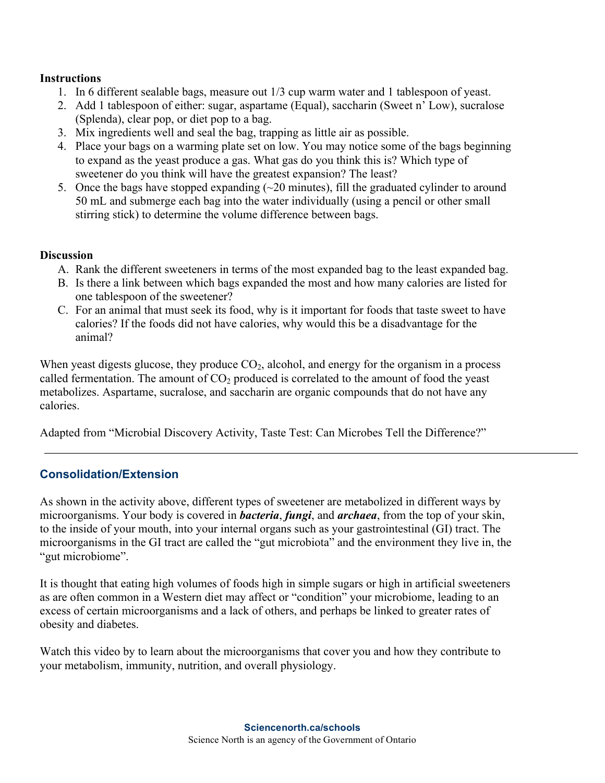#### **Instructions**

- 1. In 6 different sealable bags, measure out 1/3 cup warm water and 1 tablespoon of yeast.
- 2. Add 1 tablespoon of either: sugar, aspartame (Equal), saccharin (Sweet n' Low), sucralose (Splenda), clear pop, or diet pop to a bag.
- 3. Mix ingredients well and seal the bag, trapping as little air as possible.
- 4. Place your bags on a warming plate set on low. You may notice some of the bags beginning to expand as the yeast produce a gas. What gas do you think this is? Which type of sweetener do you think will have the greatest expansion? The least?
- 5. Once the bags have stopped expanding (~20 minutes), fill the graduated cylinder to around 50 mL and submerge each bag into the water individually (using a pencil or other small stirring stick) to determine the volume difference between bags.

#### **Discussion**

- A. Rank the different sweeteners in terms of the most expanded bag to the least expanded bag.
- B. Is there a link between which bags expanded the most and how many calories are listed for one tablespoon of the sweetener?
- C. For an animal that must seek its food, why is it important for foods that taste sweet to have calories? If the foods did not have calories, why would this be a disadvantage for the animal?

When yeast digests glucose, they produce  $CO<sub>2</sub>$ , alcohol, and energy for the organism in a process called fermentation. The amount of  $CO<sub>2</sub>$  produced is correlated to the amount of food the yeast metabolizes. Aspartame, sucralose, and saccharin are organic compounds that do not have any calories.

Adapted from "Microbial Discovery Activity, Taste Test: Can Microbes Tell the Difference?"

#### **Consolidation/Extension**

As shown in the activity above, different types of sweetener are metabolized in different ways by microorganisms. Your body is covered in *bacteria*, *fungi*, and *archaea*, from the top of your skin, to the inside of your mouth, into your internal organs such as your gastrointestinal (GI) tract. The microorganisms in the GI tract are called the "gut microbiota" and the environment they live in, the "gut microbiome".

It is thought that eating high volumes of foods high in simple sugars or high in artificial sweeteners as are often common in a Western diet may affect or "condition" your microbiome, leading to an excess of certain microorganisms and a lack of others, and perhaps be linked to greater rates of obesity and diabetes.

Watch this video by to learn about the microorganisms that cover you and how they contribute to your metabolism, immunity, nutrition, and overall physiology.